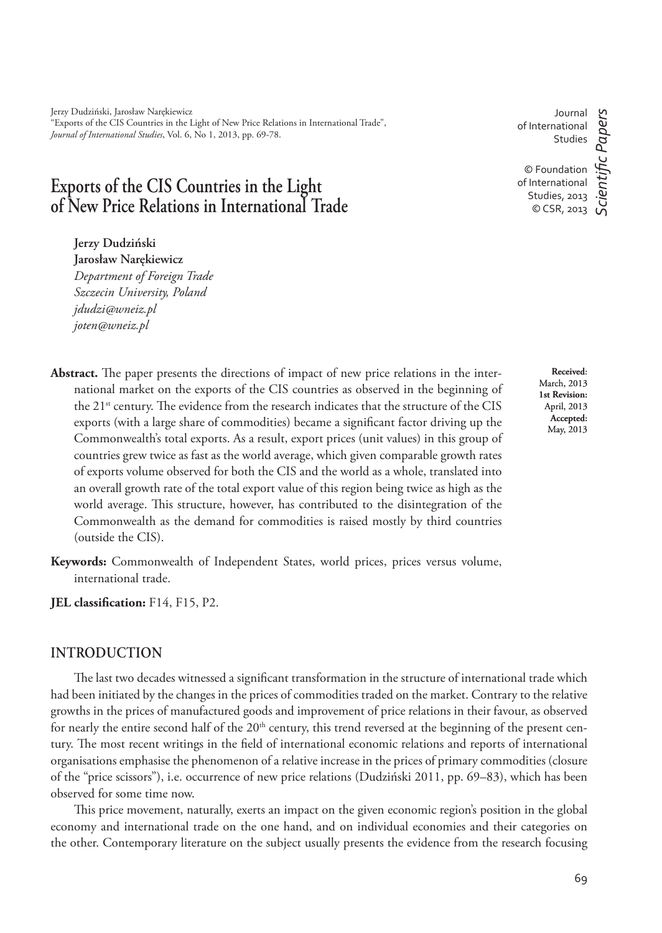Jerzy Dudziński, Jarosław Narękiewicz "Exports of the CIS Countries in the Light of New Price Relations in International Trade", *Journal of International Studies*, Vol. 6, No 1, 2013, pp. 69-78.

# **Exports of the CIS Countries in the Light of New Price Relations in International Trade**

**Jerzy Dudziński Jarosław Narękiewicz** *Department of Foreign Trade Szczecin University, Poland*

*jdudzi@wneiz.pl joten@wneiz.pl*

- Abstract. The paper presents the directions of impact of new price relations in the international market on the exports of the CIS countries as observed in the beginning of the  $21^{st}$  century. The evidence from the research indicates that the structure of the CIS exports (with a large share of commodities) became a significant factor driving up the Commonwealth's total exports. As a result, export prices (unit values) in this group of countries grew twice as fast as the world average, which given comparable growth rates of exports volume observed for both the CIS and the world as a whole, translated into an overall growth rate of the total export value of this region being twice as high as the world average. This structure, however, has contributed to the disintegration of the Commonwealth as the demand for commodities is raised mostly by third countries (outside the CIS).
- **Keywords:** Commonwealth of Independent States, world prices, prices versus volume, international trade.
- **JEL classification:** F14, F15, P2.

#### **INTRODUCTION**

The last two decades witnessed a significant transformation in the structure of international trade which had been initiated by the changes in the prices of commodities traded on the market. Contrary to the relative growths in the prices of manufactured goods and improvement of price relations in their favour, as observed for nearly the entire second half of the  $20<sup>th</sup>$  century, this trend reversed at the beginning of the present century. The most recent writings in the field of international economic relations and reports of international organisations emphasise the phenomenon of a relative increase in the prices of primary commodities (closure of the "price scissors"), i.e. occurrence of new price relations (Dudziński 2011, pp. 69–83), which has been observed for some time now.

This price movement, naturally, exerts an impact on the given economic region's position in the global economy and international trade on the one hand, and on individual economies and their categories on the other. Contemporary literature on the subject usually presents the evidence from the research focusing

**Received**: March, 2013 **1st Revision:**  April, 2013 **Accepted:**  May, 2013

Journal of International Studies

© Foundation of International Studies, 2013 © CSR, 2013

*ScientiÞ c Papers*

c Papers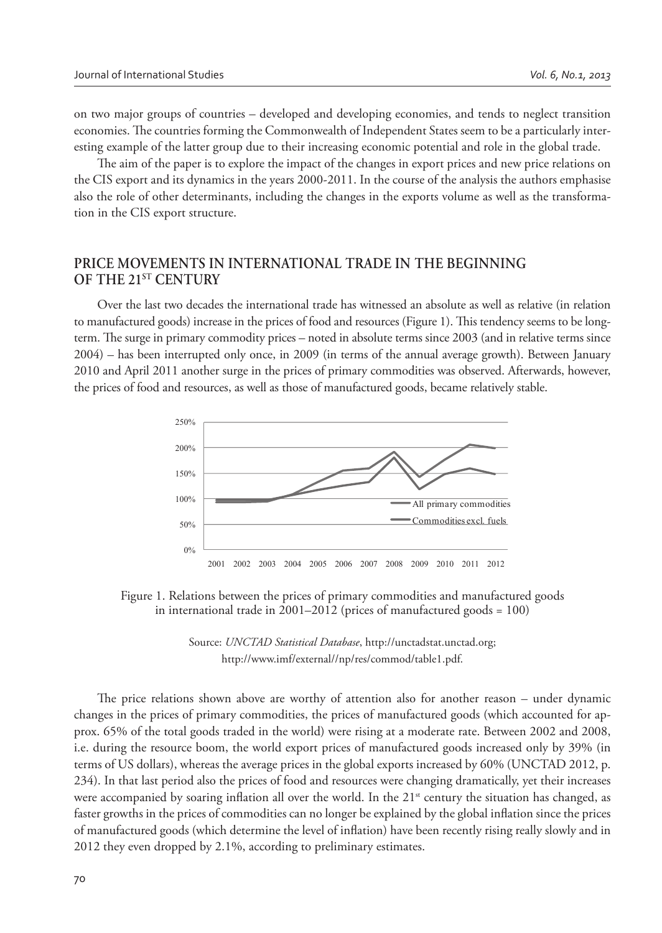on two major groups of countries – developed and developing economies, and tends to neglect transition economies. The countries forming the Commonwealth of Independent States seem to be a particularly interesting example of the latter group due to their increasing economic potential and role in the global trade.

The aim of the paper is to explore the impact of the changes in export prices and new price relations on the CIS export and its dynamics in the years 2000-2011. In the course of the analysis the authors emphasise also the role of other determinants, including the changes in the exports volume as well as the transformation in the CIS export structure.

## **PRICE MOVEMENTS IN INTERNATIONAL TRADE IN THE BEGINNING OF THE 21ST CENTURY**

Over the last two decades the international trade has witnessed an absolute as well as relative (in relation to manufactured goods) increase in the prices of food and resources (Figure 1). This tendency seems to be longterm. The surge in primary commodity prices – noted in absolute terms since 2003 (and in relative terms since 2004) – has been interrupted only once, in 2009 (in terms of the annual average growth). Between January 2010 and April 2011 another surge in the prices of primary commodities was observed. Afterwards, however, the prices of food and resources, as well as those of manufactured goods, became relatively stable.



Figure 1. Relations between the prices of primary commodities and manufactured goods in international trade in 2001–2012 (prices of manufactured goods = 100)



The price relations shown above are worthy of attention also for another reason – under dynamic changes in the prices of primary commodities, the prices of manufactured goods (which accounted for approx. 65% of the total goods traded in the world) were rising at a moderate rate. Between 2002 and 2008, i.e. during the resource boom, the world export prices of manufactured goods increased only by 39% (in terms of US dollars), whereas the average prices in the global exports increased by 60% (UNCTAD 2012, p. 234). In that last period also the prices of food and resources were changing dramatically, yet their increases were accompanied by soaring inflation all over the world. In the 21<sup>st</sup> century the situation has changed, as faster growths in the prices of commodities can no longer be explained by the global inflation since the prices of manufactured goods (which determine the level of inflation) have been recently rising really slowly and in 2012 they even dropped by 2.1%, according to preliminary estimates.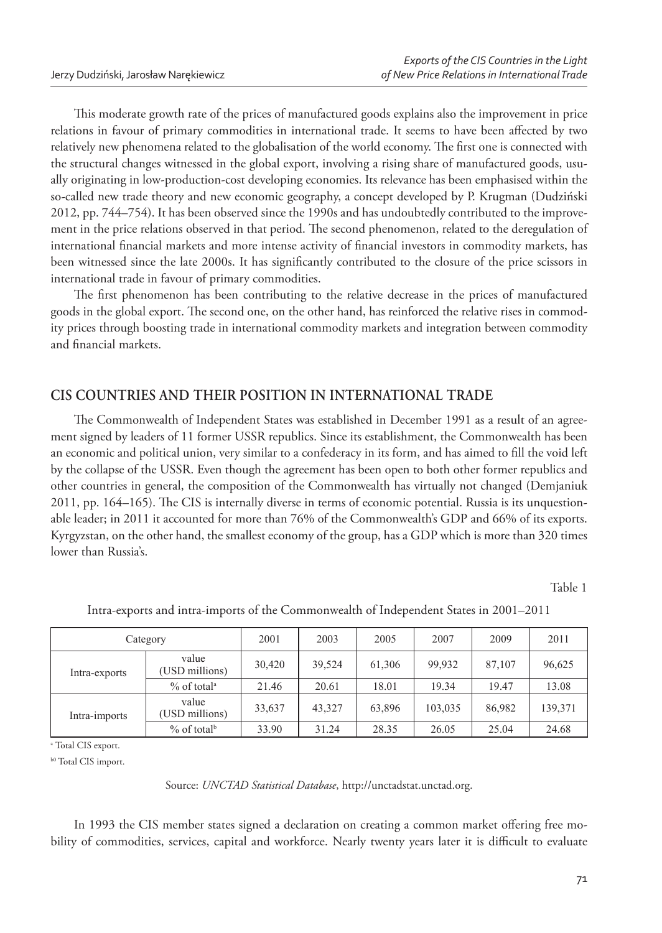This moderate growth rate of the prices of manufactured goods explains also the improvement in price relations in favour of primary commodities in international trade. It seems to have been affected by two relatively new phenomena related to the globalisation of the world economy. The first one is connected with the structural changes witnessed in the global export, involving a rising share of manufactured goods, usually originating in low-production-cost developing economies. Its relevance has been emphasised within the so-called new trade theory and new economic geography, a concept developed by P. Krugman (Dudziński 2012, pp. 744–754). It has been observed since the 1990s and has undoubtedly contributed to the improvement in the price relations observed in that period. The second phenomenon, related to the deregulation of international financial markets and more intense activity of financial investors in commodity markets, has been witnessed since the late 2000s. It has significantly contributed to the closure of the price scissors in international trade in favour of primary commodities.

The first phenomenon has been contributing to the relative decrease in the prices of manufactured goods in the global export. The second one, on the other hand, has reinforced the relative rises in commodity prices through boosting trade in international commodity markets and integration between commodity and financial markets.

# **CIS COUNTRIES AND THEIR POSITION IN INTERNATIONAL TRADE**

The Commonwealth of Independent States was established in December 1991 as a result of an agreement signed by leaders of 11 former USSR republics. Since its establishment, the Commonwealth has been an economic and political union, very similar to a confederacy in its form, and has aimed to fill the void left by the collapse of the USSR. Even though the agreement has been open to both other former republics and other countries in general, the composition of the Commonwealth has virtually not changed (Demjaniuk  $2011$ , pp.  $164–165$ ). The CIS is internally diverse in terms of economic potential. Russia is its unquestionable leader; in 2011 it accounted for more than 76% of the Commonwealth's GDP and 66% of its exports. Kyrgyzstan, on the other hand, the smallest economy of the group, has a GDP which is more than 320 times lower than Russia's.

Table 1

| Category      |                           | 2001   | 2003   | 2005   | 2007    | 2009   | 2011    |  |
|---------------|---------------------------|--------|--------|--------|---------|--------|---------|--|
| Intra-exports | value<br>(USD millions)   | 30.420 | 39,524 | 61,306 | 99.932  | 87,107 | 96,625  |  |
|               | $%$ of total <sup>a</sup> | 21.46  | 20.61  | 18.01  | 19.34   | 19.47  | 13.08   |  |
| Intra-imports | value<br>(USD millions)   | 33,637 | 43,327 | 63.896 | 103.035 | 86.982 | 139,371 |  |
|               | $%$ of total <sup>b</sup> | 33.90  | 31.24  | 28.35  | 26.05   | 25.04  | 24.68   |  |

Intra-exports and intra-imports of the Commonwealth of Independent States in 2001–2011

<sup>a</sup> Total CIS export.

b0 Total CIS import.

Source: *UNCTAD Statistical Database*, http://unctadstat.unctad.org.

In 1993 the CIS member states signed a declaration on creating a common market offering free mobility of commodities, services, capital and workforce. Nearly twenty years later it is difficult to evaluate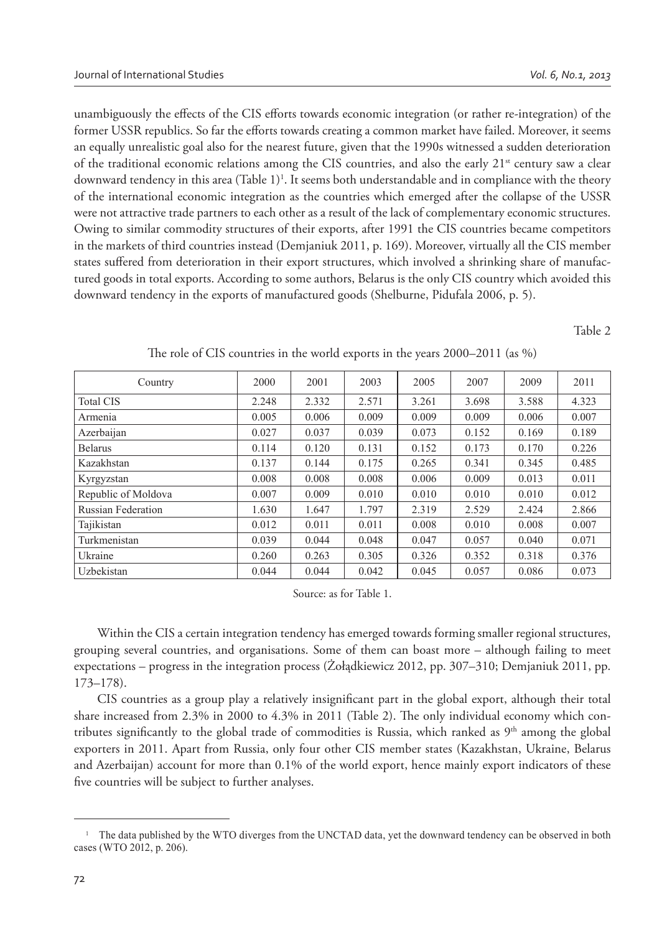unambiguously the effects of the CIS efforts towards economic integration (or rather re-integration) of the former USSR republics. So far the efforts towards creating a common market have failed. Moreover, it seems an equally unrealistic goal also for the nearest future, given that the 1990s witnessed a sudden deterioration of the traditional economic relations among the CIS countries, and also the early  $21^{st}$  century saw a clear downward tendency in this area (Table 1)<sup>1</sup>. It seems both understandable and in compliance with the theory of the international economic integration as the countries which emerged after the collapse of the USSR were not attractive trade partners to each other as a result of the lack of complementary economic structures. Owing to similar commodity structures of their exports, after 1991 the CIS countries became competitors in the markets of third countries instead (Demjaniuk 2011, p. 169). Moreover, virtually all the CIS member states suffered from deterioration in their export structures, which involved a shrinking share of manufactured goods in total exports. According to some authors, Belarus is the only CIS country which avoided this downward tendency in the exports of manufactured goods (Shelburne, Pidufala 2006, p. 5).

Table 2

| Country                   | 2000  | 2001  | 2003  | 2005  | 2007  | 2009  | 2011  |
|---------------------------|-------|-------|-------|-------|-------|-------|-------|
| <b>Total CIS</b>          | 2.248 | 2.332 | 2.571 | 3.261 | 3.698 | 3.588 | 4.323 |
| Armenia                   | 0.005 | 0.006 | 0.009 | 0.009 | 0.009 | 0.006 | 0.007 |
| Azerbaijan                | 0.027 | 0.037 | 0.039 | 0.073 | 0.152 | 0.169 | 0.189 |
| <b>Belarus</b>            | 0.114 | 0.120 | 0.131 | 0.152 | 0.173 | 0.170 | 0.226 |
| Kazakhstan                | 0.137 | 0.144 | 0.175 | 0.265 | 0.341 | 0.345 | 0.485 |
| Kyrgyzstan                | 0.008 | 0.008 | 0.008 | 0.006 | 0.009 | 0.013 | 0.011 |
| Republic of Moldova       | 0.007 | 0.009 | 0.010 | 0.010 | 0.010 | 0.010 | 0.012 |
| <b>Russian Federation</b> | 1.630 | 1.647 | 1.797 | 2.319 | 2.529 | 2.424 | 2.866 |
| Tajikistan                | 0.012 | 0.011 | 0.011 | 0.008 | 0.010 | 0.008 | 0.007 |
| Turkmenistan              | 0.039 | 0.044 | 0.048 | 0.047 | 0.057 | 0.040 | 0.071 |
| Ukraine                   | 0.260 | 0.263 | 0.305 | 0.326 | 0.352 | 0.318 | 0.376 |
| Uzbekistan                | 0.044 | 0.044 | 0.042 | 0.045 | 0.057 | 0.086 | 0.073 |

| The role of CIS countries in the world exports in the years 2000-2011 (as %) |  |  |  |  |  |  |  |  |  |  |  |  |  |  |  |  |
|------------------------------------------------------------------------------|--|--|--|--|--|--|--|--|--|--|--|--|--|--|--|--|
|------------------------------------------------------------------------------|--|--|--|--|--|--|--|--|--|--|--|--|--|--|--|--|

Source: as for Table 1.

Within the CIS a certain integration tendency has emerged towards forming smaller regional structures, grouping several countries, and organisations. Some of them can boast more – although failing to meet expectations – progress in the integration process (Żołądkiewicz 2012, pp. 307–310; Demjaniuk 2011, pp. 173–178).

CIS countries as a group play a relatively insignificant part in the global export, although their total share increased from  $2.3\%$  in  $2000$  to  $4.3\%$  in  $2011$  (Table 2). The only individual economy which contributes significantly to the global trade of commodities is Russia, which ranked as  $9<sup>th</sup>$  among the global exporters in 2011. Apart from Russia, only four other CIS member states (Kazakhstan, Ukraine, Belarus and Azerbaijan) account for more than 0.1% of the world export, hence mainly export indicators of these five countries will be subject to further analyses.

<sup>&</sup>lt;sup>1</sup> The data published by the WTO diverges from the UNCTAD data, yet the downward tendency can be observed in both cases (WTO 2012, p. 206).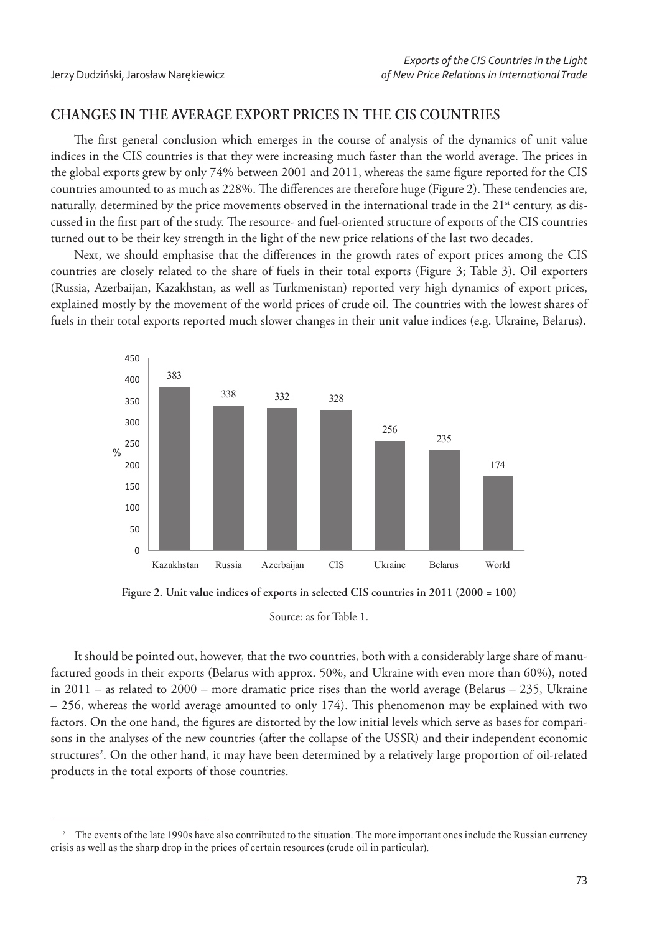# **CHANGES IN THE AVERAGE EXPORT PRICES IN THE CIS COUNTRIES**

The first general conclusion which emerges in the course of analysis of the dynamics of unit value indices in the CIS countries is that they were increasing much faster than the world average. The prices in the global exports grew by only 74% between 2001 and 2011, whereas the same figure reported for the CIS countries amounted to as much as 228%. The differences are therefore huge (Figure 2). These tendencies are, naturally, determined by the price movements observed in the international trade in the  $21<sup>st</sup>$  century, as discussed in the first part of the study. The resource- and fuel-oriented structure of exports of the CIS countries turned out to be their key strength in the light of the new price relations of the last two decades.

Next, we should emphasise that the differences in the growth rates of export prices among the CIS countries are closely related to the share of fuels in their total exports (Figure 3; Table 3). Oil exporters (Russia, Azerbaijan, Kazakhstan, as well as Turkmenistan) reported very high dynamics of export prices, explained mostly by the movement of the world prices of crude oil. The countries with the lowest shares of fuels in their total exports reported much slower changes in their unit value indices (e.g. Ukraine, Belarus).



**Figure 2. Unit value indices of exports in selected CIS countries in 2011 (2000 = 100)**

Source: as for Table 1.

It should be pointed out, however, that the two countries, both with a considerably large share of manufactured goods in their exports (Belarus with approx. 50%, and Ukraine with even more than 60%), noted in 2011 – as related to 2000 – more dramatic price rises than the world average (Belarus – 235, Ukraine  $-256$ , whereas the world average amounted to only 174). This phenomenon may be explained with two factors. On the one hand, the figures are distorted by the low initial levels which serve as bases for comparisons in the analyses of the new countries (after the collapse of the USSR) and their independent economic structures<sup>2</sup>. On the other hand, it may have been determined by a relatively large proportion of oil-related products in the total exports of those countries.

<sup>&</sup>lt;sup>2</sup> The events of the late 1990s have also contributed to the situation. The more important ones include the Russian currency crisis as well as the sharp drop in the prices of certain resources (crude oil in particular).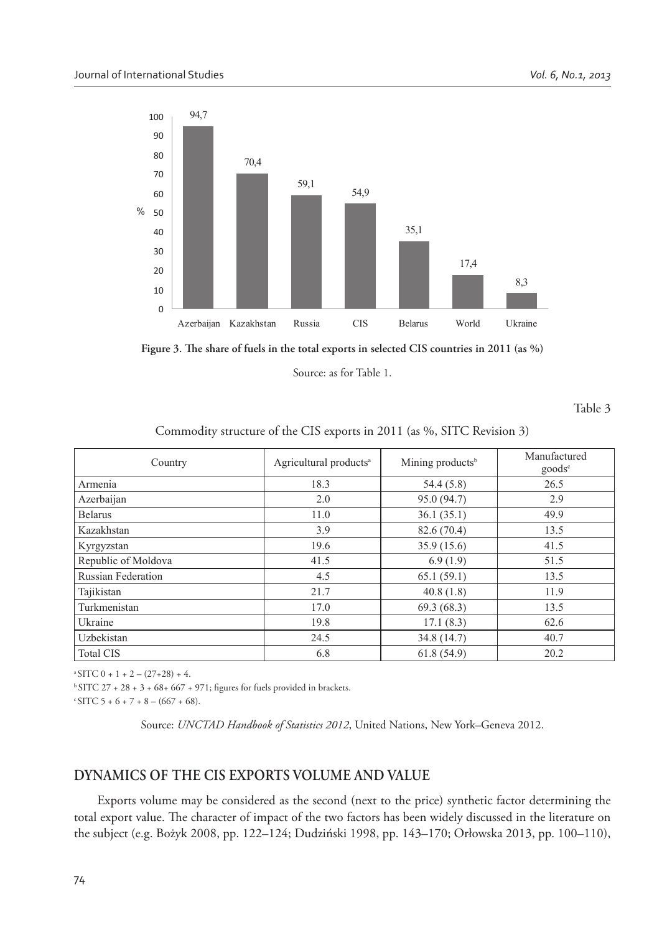

Figure 3. The share of fuels in the total exports in selected CIS countries in 2011 (as %)

Source: as for Table 1.

Table 3

#### Commodity structure of the CIS exports in 2011 (as %, SITC Revision 3)

| Country                   | Agricultural products <sup>a</sup> | Mining products <sup>b</sup> | Manufactured<br>goods <sup>c</sup> |  |  |
|---------------------------|------------------------------------|------------------------------|------------------------------------|--|--|
| Armenia                   | 18.3                               | 54.4(5.8)                    | 26.5                               |  |  |
| Azerbaijan                | 2.0                                | 95.0 (94.7)                  | 2.9                                |  |  |
| <b>Belarus</b>            | 11.0                               | 36.1(35.1)                   | 49.9                               |  |  |
| Kazakhstan                | 3.9                                | 82.6 (70.4)                  | 13.5                               |  |  |
| Kyrgyzstan                | 19.6                               | 35.9 (15.6)                  | 41.5                               |  |  |
| Republic of Moldova       | 41.5                               | 6.9(1.9)                     | 51.5                               |  |  |
| <b>Russian Federation</b> | 4.5                                | 65.1(59.1)                   | 13.5                               |  |  |
| Tajikistan                | 21.7                               | 40.8(1.8)                    | 11.9                               |  |  |
| Turkmenistan              | 17.0                               | 69.3(68.3)                   | 13.5                               |  |  |
| Ukraine                   | 19.8                               | 17.1(8.3)                    | 62.6                               |  |  |
| Uzbekistan                | 24.5                               | 34.8 (14.7)                  | 40.7                               |  |  |
| <b>Total CIS</b>          | 6.8                                | 61.8(54.9)                   | 20.2                               |  |  |

 $A^2$ SITC 0 + 1 + 2 – (27+28) + 4.

 $^{b}$  SITC 27 + 28 + 3 + 68+ 667 + 971; figures for fuels provided in brackets.

 $\cdot$  SITC 5 + 6 + 7 + 8 – (667 + 68).

Source: *UNCTAD Handbook of Statistics 2012*, United Nations, New York–Geneva 2012.

## **DYNAMICS OF THE CIS EXPORTS VOLUME AND VALUE**

Exports volume may be considered as the second (next to the price) synthetic factor determining the total export value. The character of impact of the two factors has been widely discussed in the literature on the subject (e.g. Bożyk 2008, pp. 122–124; Dudziński 1998, pp. 143–170; Orłowska 2013, pp. 100–110),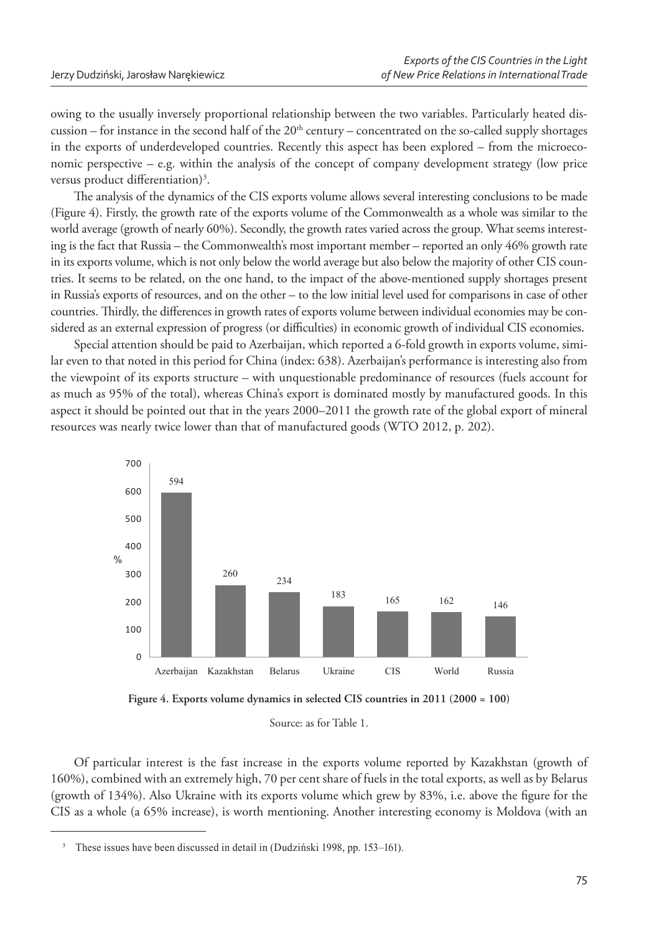owing to the usually inversely proportional relationship between the two variables. Particularly heated discussion – for instance in the second half of the  $20<sup>th</sup>$  century – concentrated on the so-called supply shortages in the exports of underdeveloped countries. Recently this aspect has been explored – from the microeconomic perspective – e.g. within the analysis of the concept of company development strategy (low price versus product differentiation)<sup>3</sup>.

The analysis of the dynamics of the CIS exports volume allows several interesting conclusions to be made (Figure 4). Firstly, the growth rate of the exports volume of the Commonwealth as a whole was similar to the world average (growth of nearly 60%). Secondly, the growth rates varied across the group. What seems interesting is the fact that Russia – the Commonwealth's most important member – reported an only 46% growth rate in its exports volume, which is not only below the world average but also below the majority of other CIS countries. It seems to be related, on the one hand, to the impact of the above-mentioned supply shortages present in Russia's exports of resources, and on the other - to the low initial level used for comparisons in case of other countries. Thirdly, the differences in growth rates of exports volume between individual economies may be considered as an external expression of progress (or difficulties) in economic growth of individual CIS economies.

Special attention should be paid to Azerbaijan, which reported a 6-fold growth in exports volume, similar even to that noted in this period for China (index: 638). Azerbaijan's performance is interesting also from the viewpoint of its exports structure – with unquestionable predominance of resources (fuels account for as much as 95% of the total), whereas China's export is dominated mostly by manufactured goods. In this aspect it should be pointed out that in the years 2000–2011 the growth rate of the global export of mineral resources was nearly twice lower than that of manufactured goods (WTO 2012, p. 202).





Source: as for Table 1.

Of particular interest is the fast increase in the exports volume reported by Kazakhstan (growth of 160%), combined with an extremely high, 70 per cent share of fuels in the total exports, as well as by Belarus (growth of 134%). Also Ukraine with its exports volume which grew by 83%, i.e. above the figure for the CIS as a whole (a 65% increase), is worth mentioning. Another interesting economy is Moldova (with an

<sup>&</sup>lt;sup>3</sup> These issues have been discussed in detail in (Dudziński 1998, pp. 153–161).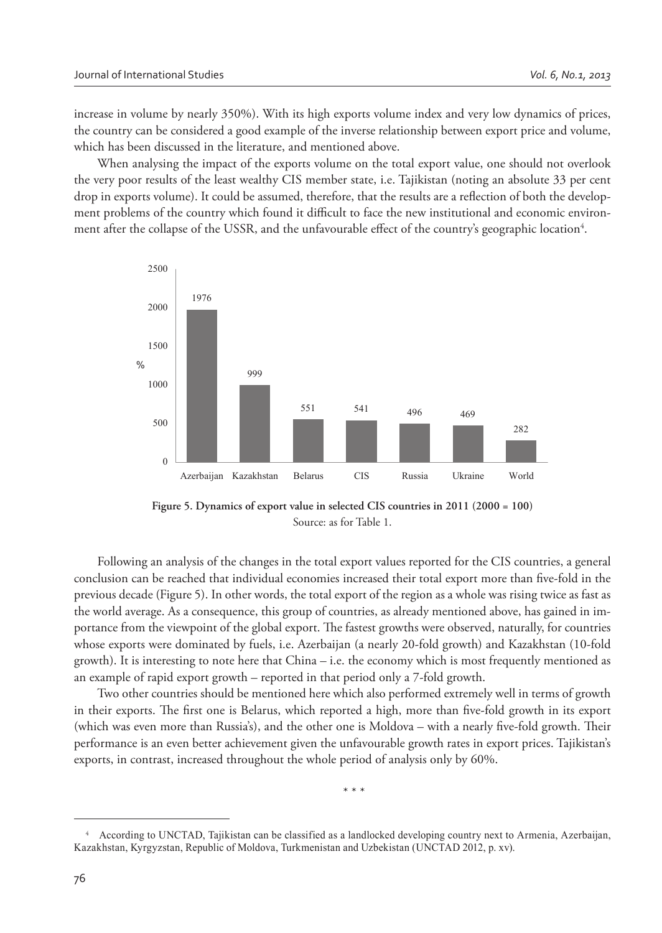increase in volume by nearly 350%). With its high exports volume index and very low dynamics of prices, the country can be considered a good example of the inverse relationship between export price and volume, which has been discussed in the literature, and mentioned above.

When analysing the impact of the exports volume on the total export value, one should not overlook the very poor results of the least wealthy CIS member state, i.e. Tajikistan (noting an absolute 33 per cent drop in exports volume). It could be assumed, therefore, that the results are a reflection of both the development problems of the country which found it difficult to face the new institutional and economic environment after the collapse of the USSR, and the unfavourable effect of the country's geographic location<sup>4</sup>.



**Figure 5. Dynamics of export value in selected CIS countries in 2011 (2000 = 100)** Source: as for Table 1.

Following an analysis of the changes in the total export values reported for the CIS countries, a general conclusion can be reached that individual economies increased their total export more than five-fold in the previous decade (Figure 5). In other words, the total export of the region as a whole was rising twice as fast as the world average. As a consequence, this group of countries, as already mentioned above, has gained in importance from the viewpoint of the global export. The fastest growths were observed, naturally, for countries whose exports were dominated by fuels, i.e. Azerbaijan (a nearly 20-fold growth) and Kazakhstan (10-fold growth). It is interesting to note here that China – i.e. the economy which is most frequently mentioned as an example of rapid export growth – reported in that period only a 7-fold growth.

Two other countries should be mentioned here which also performed extremely well in terms of growth in their exports. The first one is Belarus, which reported a high, more than five-fold growth in its export (which was even more than Russia's), and the other one is Moldova – with a nearly five-fold growth. Their performance is an even better achievement given the unfavourable growth rates in export prices. Tajikistan's exports, in contrast, increased throughout the whole period of analysis only by 60%.

\* \* \*

<sup>4</sup>According to UNCTAD, Tajikistan can be classified as a landlocked developing country next to Armenia, Azerbaijan, Kazakhstan, Kyrgyzstan, Republic of Moldova, Turkmenistan and Uzbekistan (UNCTAD 2012, p. xv).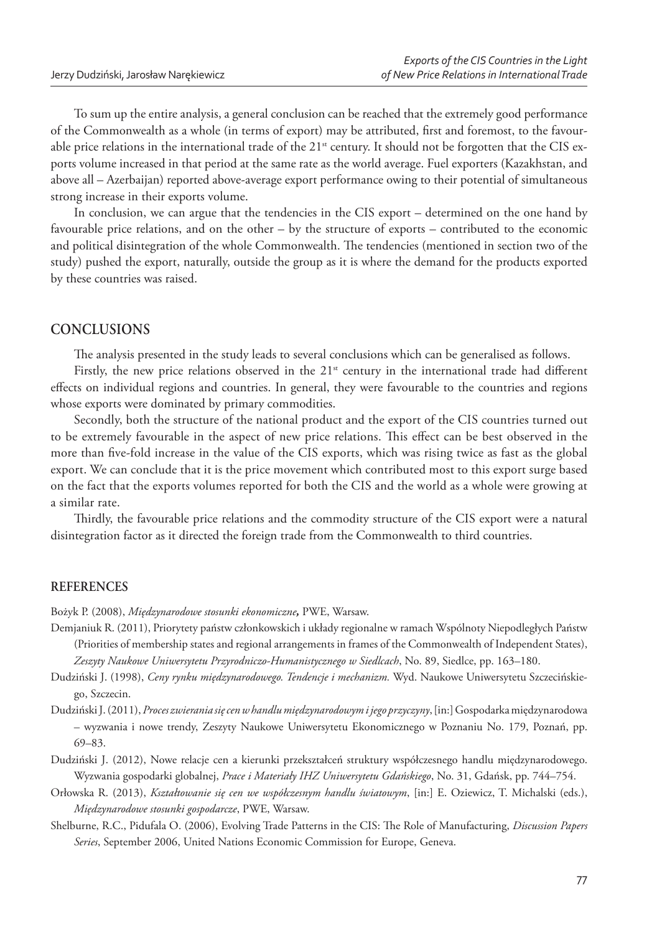To sum up the entire analysis, a general conclusion can be reached that the extremely good performance of the Commonwealth as a whole (in terms of export) may be attributed, first and foremost, to the favourable price relations in the international trade of the 21<sup>st</sup> century. It should not be forgotten that the CIS exports volume increased in that period at the same rate as the world average. Fuel exporters (Kazakhstan, and above all - Azerbaijan) reported above-average export performance owing to their potential of simultaneous strong increase in their exports volume.

In conclusion, we can argue that the tendencies in the CIS export – determined on the one hand by favourable price relations, and on the other – by the structure of exports – contributed to the economic and political disintegration of the whole Commonwealth. The tendencies (mentioned in section two of the study) pushed the export, naturally, outside the group as it is where the demand for the products exported by these countries was raised.

#### **CONCLUSIONS**

The analysis presented in the study leads to several conclusions which can be generalised as follows.

Firstly, the new price relations observed in the 21<sup>st</sup> century in the international trade had different effects on individual regions and countries. In general, they were favourable to the countries and regions whose exports were dominated by primary commodities.

Secondly, both the structure of the national product and the export of the CIS countries turned out to be extremely favourable in the aspect of new price relations. This effect can be best observed in the more than five-fold increase in the value of the CIS exports, which was rising twice as fast as the global export. We can conclude that it is the price movement which contributed most to this export surge based on the fact that the exports volumes reported for both the CIS and the world as a whole were growing at a similar rate.

Thirdly, the favourable price relations and the commodity structure of the CIS export were a natural disintegration factor as it directed the foreign trade from the Commonwealth to third countries.

#### **REFERENCES**

Bożyk P. (2008), Międzynarodowe stosunki ekonomiczne, PWE, Warsaw.

- Demjaniuk R. (2011), Priorytety państw członkowskich i układy regionalne w ramach Wspólnoty Niepodległych Państw (Priorities of membership states and regional arrangements in frames of the Commonwealth of Independent States), Zeszyty Naukowe Uniwersytetu Przyrodniczo-Humanistycznego w Siedlcach, No. 89, Siedlce, pp. 163-180.
- Dudziński J. (1998), Ceny rynku międzynarodowego. Tendencje i mechanizm. Wyd. Naukowe Uniwersytetu Szczecińskiego, Szczecin.
- Dudziński J. (2011), Proces zwierania się cen w handlu międzynarodowym i jego przyczyny, [in:] Gospodarka międzynarodowa - wyzwania i nowe trendy, Zeszyty Naukowe Uniwersytetu Ekonomicznego w Poznaniu No. 179, Poznań, pp.  $69 - 83$ .
- Dudziński J. (2012), Nowe relacje cen a kierunki przekształceń struktury współczesnego handlu międzynarodowego. Wyzwania gospodarki globalnej, Prace i Materiały IHZ Uniwersytetu Gdańskiego, No. 31, Gdańsk, pp. 744-754.
- Orłowska R. (2013), Kształtowanie się cen we współczesnym handlu światowym, [in:] E. Oziewicz, T. Michalski (eds.), Międzynarodowe stosunki gospodarcze, PWE, Warsaw.
- Shelburne, R.C., Pidufala O. (2006), Evolving Trade Patterns in the CIS: The Role of Manufacturing, Discussion Papers Series, September 2006, United Nations Economic Commission for Europe, Geneva.